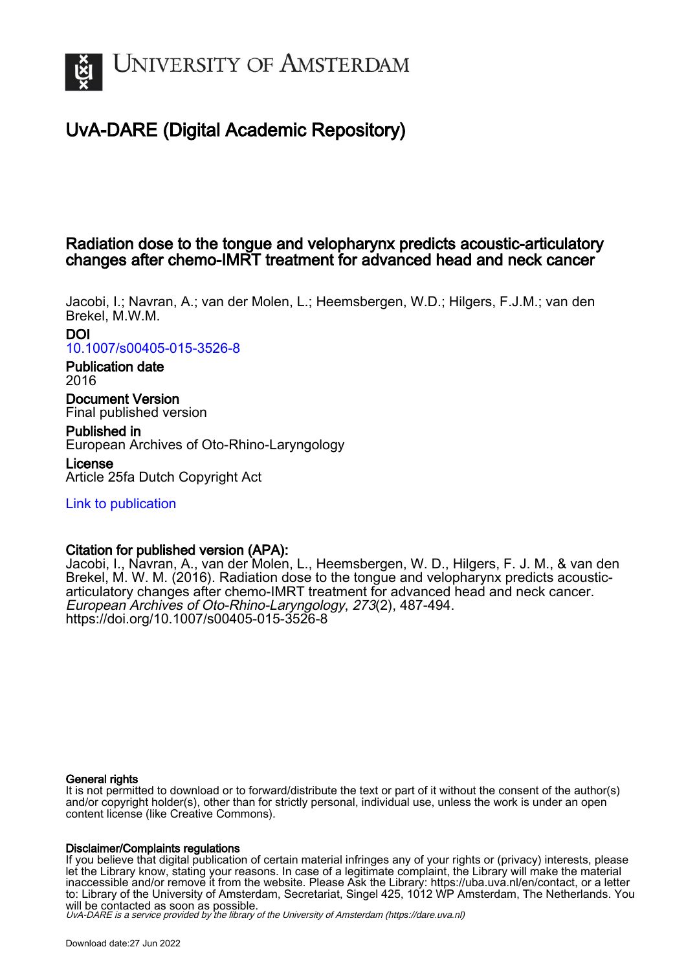

# UvA-DARE (Digital Academic Repository)

# Radiation dose to the tongue and velopharynx predicts acoustic-articulatory changes after chemo-IMRT treatment for advanced head and neck cancer

Jacobi, I.; Navran, A.; van der Molen, L.; Heemsbergen, W.D.; Hilgers, F.J.M.; van den Brekel, M.W.M. DOI

[10.1007/s00405-015-3526-8](https://doi.org/10.1007/s00405-015-3526-8)

# Publication date 2016

Document Version Final published version

Published in European Archives of Oto-Rhino-Laryngology

License Article 25fa Dutch Copyright Act

[Link to publication](https://dare.uva.nl/personal/pure/en/publications/radiation-dose-to-the-tongue-and-velopharynx-predicts-acousticarticulatory-changes-after-chemoimrt-treatment-for-advanced-head-and-neck-cancer(4ef9e86b-c00d-48fb-a147-b1387ecff2fa).html)

# Citation for published version (APA):

Jacobi, I., Navran, A., van der Molen, L., Heemsbergen, W. D., Hilgers, F. J. M., & van den Brekel, M. W. M. (2016). Radiation dose to the tongue and velopharynx predicts acousticarticulatory changes after chemo-IMRT treatment for advanced head and neck cancer. European Archives of Oto-Rhino-Laryngology, 273(2), 487-494. <https://doi.org/10.1007/s00405-015-3526-8>

# General rights

It is not permitted to download or to forward/distribute the text or part of it without the consent of the author(s) and/or copyright holder(s), other than for strictly personal, individual use, unless the work is under an open content license (like Creative Commons).

## Disclaimer/Complaints regulations

If you believe that digital publication of certain material infringes any of your rights or (privacy) interests, please let the Library know, stating your reasons. In case of a legitimate complaint, the Library will make the material inaccessible and/or remove it from the website. Please Ask the Library: https://uba.uva.nl/en/contact, or a letter to: Library of the University of Amsterdam, Secretariat, Singel 425, 1012 WP Amsterdam, The Netherlands. You will be contacted as soon as possible.

UvA-DARE is a service provided by the library of the University of Amsterdam (http*s*://dare.uva.nl)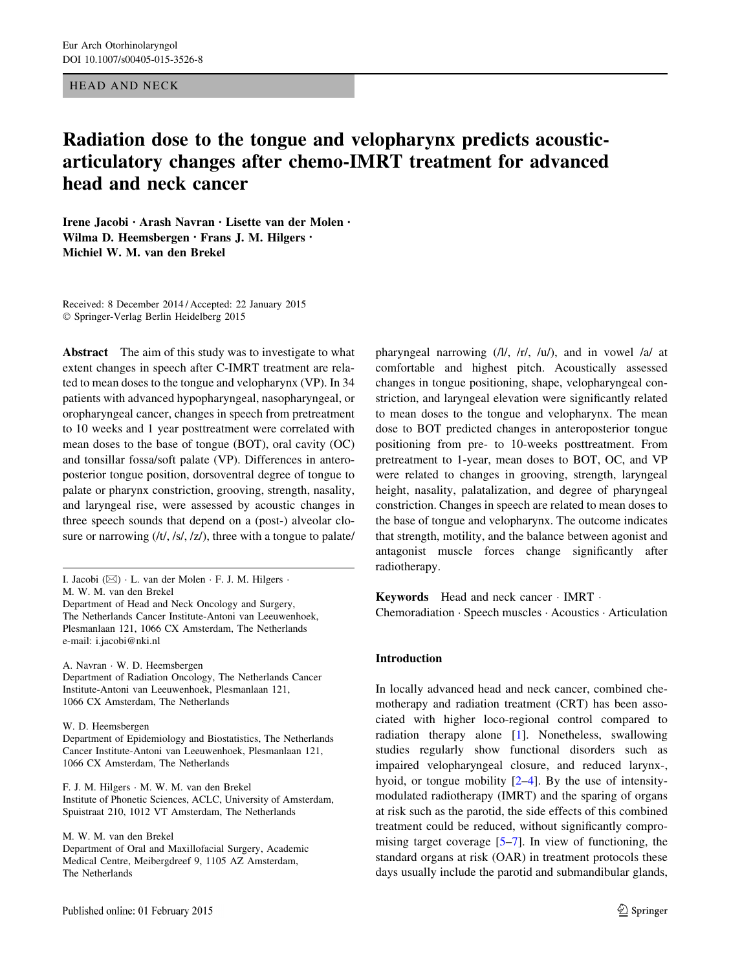#### HEAD AND NECK

# Radiation dose to the tongue and velopharynx predicts acousticarticulatory changes after chemo-IMRT treatment for advanced head and neck cancer

Irene Jacobi • Arash Navran • Lisette van der Molen • Wilma D. Heemsbergen • Frans J. M. Hilgers • Michiel W. M. van den Brekel

Received: 8 December 2014 / Accepted: 22 January 2015 - Springer-Verlag Berlin Heidelberg 2015

Abstract The aim of this study was to investigate to what extent changes in speech after C-IMRT treatment are related to mean doses to the tongue and velopharynx (VP). In 34 patients with advanced hypopharyngeal, nasopharyngeal, or oropharyngeal cancer, changes in speech from pretreatment to 10 weeks and 1 year posttreatment were correlated with mean doses to the base of tongue (BOT), oral cavity (OC) and tonsillar fossa/soft palate (VP). Differences in anteroposterior tongue position, dorsoventral degree of tongue to palate or pharynx constriction, grooving, strength, nasality, and laryngeal rise, were assessed by acoustic changes in three speech sounds that depend on a (post-) alveolar closure or narrowing  $(lt, /s/, z/),$  three with a tongue to palate/

A. Navran - W. D. Heemsbergen Department of Radiation Oncology, The Netherlands Cancer Institute-Antoni van Leeuwenhoek, Plesmanlaan 121, 1066 CX Amsterdam, The Netherlands

W. D. Heemsbergen

Department of Epidemiology and Biostatistics, The Netherlands Cancer Institute-Antoni van Leeuwenhoek, Plesmanlaan 121, 1066 CX Amsterdam, The Netherlands

F. J. M. Hilgers - M. W. M. van den Brekel Institute of Phonetic Sciences, ACLC, University of Amsterdam, Spuistraat 210, 1012 VT Amsterdam, The Netherlands

M. W. M. van den Brekel

Department of Oral and Maxillofacial Surgery, Academic Medical Centre, Meibergdreef 9, 1105 AZ Amsterdam, The Netherlands

pharyngeal narrowing (/l/, /r/, /u/), and in vowel /a/ at comfortable and highest pitch. Acoustically assessed changes in tongue positioning, shape, velopharyngeal constriction, and laryngeal elevation were significantly related to mean doses to the tongue and velopharynx. The mean dose to BOT predicted changes in anteroposterior tongue positioning from pre- to 10-weeks posttreatment. From pretreatment to 1-year, mean doses to BOT, OC, and VP were related to changes in grooving, strength, laryngeal height, nasality, palatalization, and degree of pharyngeal constriction. Changes in speech are related to mean doses to the base of tongue and velopharynx. The outcome indicates that strength, motility, and the balance between agonist and antagonist muscle forces change significantly after radiotherapy.

Keywords Head and neck cancer - IMRT - Chemoradiation - Speech muscles - Acoustics - Articulation

#### Introduction

In locally advanced head and neck cancer, combined chemotherapy and radiation treatment (CRT) has been associated with higher loco-regional control compared to radiation therapy alone [\[1](#page-8-0)]. Nonetheless, swallowing studies regularly show functional disorders such as impaired velopharyngeal closure, and reduced larynx-, hyoid, or tongue mobility [\[2–4](#page-8-0)]. By the use of intensitymodulated radiotherapy (IMRT) and the sparing of organs at risk such as the parotid, the side effects of this combined treatment could be reduced, without significantly compromising target coverage [\[5–7](#page-8-0)]. In view of functioning, the standard organs at risk (OAR) in treatment protocols these days usually include the parotid and submandibular glands,

I. Jacobi (&) - L. van der Molen - F. J. M. Hilgers - M. W. M. van den Brekel Department of Head and Neck Oncology and Surgery, The Netherlands Cancer Institute-Antoni van Leeuwenhoek, Plesmanlaan 121, 1066 CX Amsterdam, The Netherlands e-mail: i.jacobi@nki.nl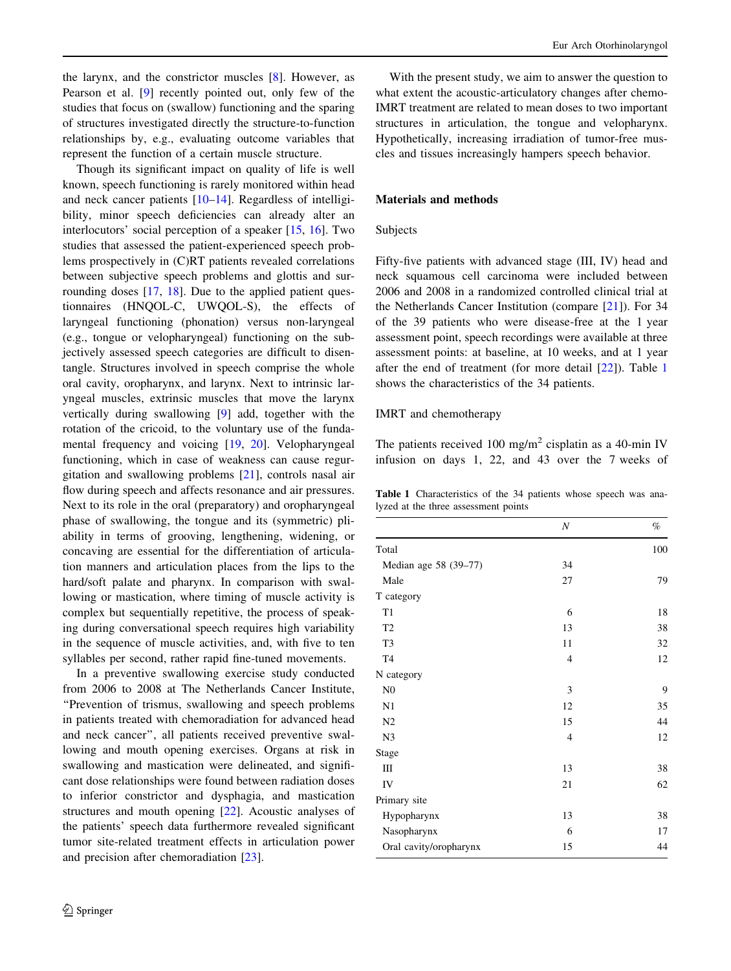the larynx, and the constrictor muscles [\[8](#page-8-0)]. However, as Pearson et al. [\[9](#page-8-0)] recently pointed out, only few of the studies that focus on (swallow) functioning and the sparing of structures investigated directly the structure-to-function relationships by, e.g., evaluating outcome variables that represent the function of a certain muscle structure.

Though its significant impact on quality of life is well known, speech functioning is rarely monitored within head and neck cancer patients [\[10–14](#page-8-0)]. Regardless of intelligibility, minor speech deficiencies can already alter an interlocutors' social perception of a speaker [\[15](#page-8-0), [16\]](#page-8-0). Two studies that assessed the patient-experienced speech problems prospectively in (C)RT patients revealed correlations between subjective speech problems and glottis and sur-rounding doses [[17,](#page-8-0) [18](#page-8-0)]. Due to the applied patient questionnaires (HNQOL-C, UWQOL-S), the effects of laryngeal functioning (phonation) versus non-laryngeal (e.g., tongue or velopharyngeal) functioning on the subjectively assessed speech categories are difficult to disentangle. Structures involved in speech comprise the whole oral cavity, oropharynx, and larynx. Next to intrinsic laryngeal muscles, extrinsic muscles that move the larynx vertically during swallowing [\[9](#page-8-0)] add, together with the rotation of the cricoid, to the voluntary use of the fundamental frequency and voicing [[19,](#page-8-0) [20](#page-8-0)]. Velopharyngeal functioning, which in case of weakness can cause regurgitation and swallowing problems [\[21](#page-8-0)], controls nasal air flow during speech and affects resonance and air pressures. Next to its role in the oral (preparatory) and oropharyngeal phase of swallowing, the tongue and its (symmetric) pliability in terms of grooving, lengthening, widening, or concaving are essential for the differentiation of articulation manners and articulation places from the lips to the hard/soft palate and pharynx. In comparison with swallowing or mastication, where timing of muscle activity is complex but sequentially repetitive, the process of speaking during conversational speech requires high variability in the sequence of muscle activities, and, with five to ten syllables per second, rather rapid fine-tuned movements.

In a preventive swallowing exercise study conducted from 2006 to 2008 at The Netherlands Cancer Institute, ''Prevention of trismus, swallowing and speech problems in patients treated with chemoradiation for advanced head and neck cancer'', all patients received preventive swallowing and mouth opening exercises. Organs at risk in swallowing and mastication were delineated, and significant dose relationships were found between radiation doses to inferior constrictor and dysphagia, and mastication structures and mouth opening [[22\]](#page-8-0). Acoustic analyses of the patients' speech data furthermore revealed significant tumor site-related treatment effects in articulation power and precision after chemoradiation [[23\]](#page-8-0).

With the present study, we aim to answer the question to what extent the acoustic-articulatory changes after chemo-IMRT treatment are related to mean doses to two important structures in articulation, the tongue and velopharynx. Hypothetically, increasing irradiation of tumor-free muscles and tissues increasingly hampers speech behavior.

### Materials and methods

## **Subjects**

Fifty-five patients with advanced stage (III, IV) head and neck squamous cell carcinoma were included between 2006 and 2008 in a randomized controlled clinical trial at the Netherlands Cancer Institution (compare [[21\]](#page-8-0)). For 34 of the 39 patients who were disease-free at the 1 year assessment point, speech recordings were available at three assessment points: at baseline, at 10 weeks, and at 1 year after the end of treatment (for more detail [\[22](#page-8-0)]). Table 1 shows the characteristics of the 34 patients.

## IMRT and chemotherapy

The patients received 100 mg/m<sup>2</sup> cisplatin as a 40-min IV infusion on days 1, 22, and 43 over the 7 weeks of

Table 1 Characteristics of the 34 patients whose speech was analyzed at the three assessment points

|                        | N              | $\%$ |
|------------------------|----------------|------|
| Total                  |                | 100  |
| Median age 58 (39-77)  | 34             |      |
| Male                   | 27             | 79   |
| T category             |                |      |
| T1                     | 6              | 18   |
| T <sub>2</sub>         | 13             | 38   |
| T <sub>3</sub>         | 11             | 32   |
| T <sub>4</sub>         | 4              | 12   |
| N category             |                |      |
| N <sub>0</sub>         | 3              | 9    |
| N1                     | 12             | 35   |
| N <sub>2</sub>         | 15             | 44   |
| N <sub>3</sub>         | $\overline{4}$ | 12   |
| Stage                  |                |      |
| Ш                      | 13             | 38   |
| IV                     | 21             | 62   |
| Primary site           |                |      |
| Hypopharynx            | 13             | 38   |
| Nasopharynx            | 6              | 17   |
| Oral cavity/oropharynx | 15             | 44   |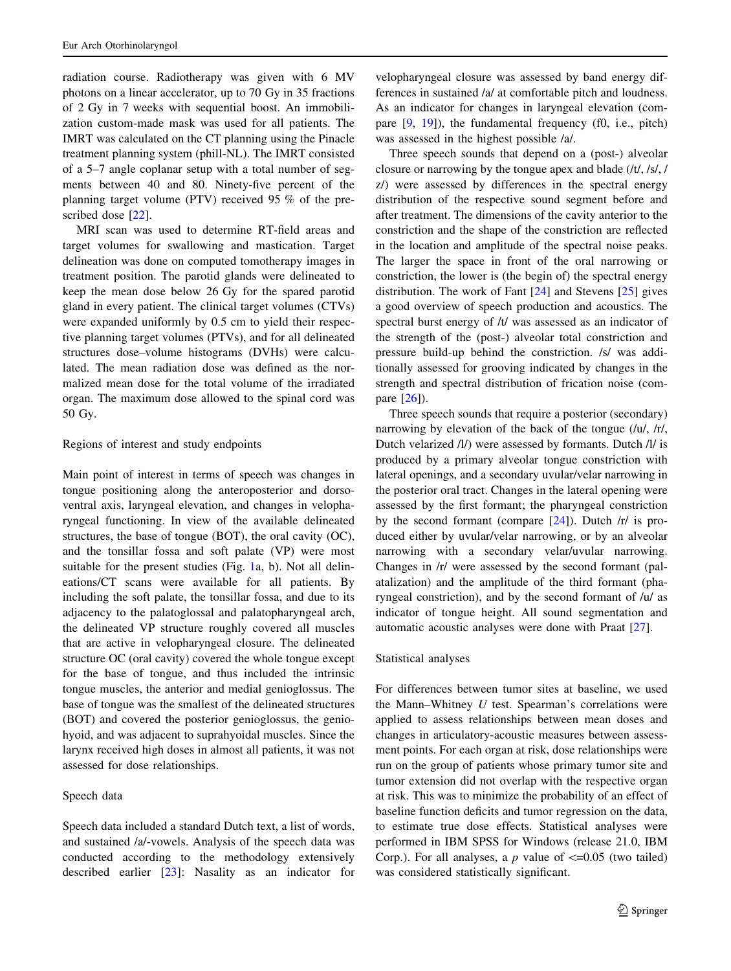radiation course. Radiotherapy was given with 6 MV photons on a linear accelerator, up to 70 Gy in 35 fractions of 2 Gy in 7 weeks with sequential boost. An immobilization custom-made mask was used for all patients. The IMRT was calculated on the CT planning using the Pinacle treatment planning system (phill-NL). The IMRT consisted of a 5–7 angle coplanar setup with a total number of segments between 40 and 80. Ninety-five percent of the planning target volume (PTV) received 95 % of the prescribed dose [\[22](#page-8-0)].

MRI scan was used to determine RT-field areas and target volumes for swallowing and mastication. Target delineation was done on computed tomotherapy images in treatment position. The parotid glands were delineated to keep the mean dose below 26 Gy for the spared parotid gland in every patient. The clinical target volumes (CTVs) were expanded uniformly by 0.5 cm to yield their respective planning target volumes (PTVs), and for all delineated structures dose–volume histograms (DVHs) were calculated. The mean radiation dose was defined as the normalized mean dose for the total volume of the irradiated organ. The maximum dose allowed to the spinal cord was 50 Gy.

#### Regions of interest and study endpoints

Main point of interest in terms of speech was changes in tongue positioning along the anteroposterior and dorsoventral axis, laryngeal elevation, and changes in velopharyngeal functioning. In view of the available delineated structures, the base of tongue (BOT), the oral cavity (OC), and the tonsillar fossa and soft palate (VP) were most suitable for the present studies (Fig. [1](#page-4-0)a, b). Not all delineations/CT scans were available for all patients. By including the soft palate, the tonsillar fossa, and due to its adjacency to the palatoglossal and palatopharyngeal arch, the delineated VP structure roughly covered all muscles that are active in velopharyngeal closure. The delineated structure OC (oral cavity) covered the whole tongue except for the base of tongue, and thus included the intrinsic tongue muscles, the anterior and medial genioglossus. The base of tongue was the smallest of the delineated structures (BOT) and covered the posterior genioglossus, the geniohyoid, and was adjacent to suprahyoidal muscles. Since the larynx received high doses in almost all patients, it was not assessed for dose relationships.

## Speech data

Speech data included a standard Dutch text, a list of words, and sustained /a/-vowels. Analysis of the speech data was conducted according to the methodology extensively described earlier [\[23](#page-8-0)]: Nasality as an indicator for

velopharyngeal closure was assessed by band energy differences in sustained /a/ at comfortable pitch and loudness. As an indicator for changes in laryngeal elevation (compare [\[9](#page-8-0), [19](#page-8-0)]), the fundamental frequency (f0, i.e., pitch) was assessed in the highest possible /a/.

Three speech sounds that depend on a (post-) alveolar closure or narrowing by the tongue apex and blade (/t/, /s/, / z/) were assessed by differences in the spectral energy distribution of the respective sound segment before and after treatment. The dimensions of the cavity anterior to the constriction and the shape of the constriction are reflected in the location and amplitude of the spectral noise peaks. The larger the space in front of the oral narrowing or constriction, the lower is (the begin of) the spectral energy distribution. The work of Fant [[24](#page-8-0)] and Stevens [[25\]](#page-8-0) gives a good overview of speech production and acoustics. The spectral burst energy of /t/ was assessed as an indicator of the strength of the (post-) alveolar total constriction and pressure build-up behind the constriction. /s/ was additionally assessed for grooving indicated by changes in the strength and spectral distribution of frication noise (compare [\[26](#page-8-0)]).

Three speech sounds that require a posterior (secondary) narrowing by elevation of the back of the tongue (/u/, /r/, Dutch velarized /l/) were assessed by formants. Dutch /l/ is produced by a primary alveolar tongue constriction with lateral openings, and a secondary uvular/velar narrowing in the posterior oral tract. Changes in the lateral opening were assessed by the first formant; the pharyngeal constriction by the second formant (compare  $[24]$  $[24]$ ). Dutch /r/ is produced either by uvular/velar narrowing, or by an alveolar narrowing with a secondary velar/uvular narrowing. Changes in /r/ were assessed by the second formant (palatalization) and the amplitude of the third formant (pharyngeal constriction), and by the second formant of /u/ as indicator of tongue height. All sound segmentation and automatic acoustic analyses were done with Praat [\[27](#page-8-0)].

#### Statistical analyses

For differences between tumor sites at baseline, we used the Mann–Whitney  $U$  test. Spearman's correlations were applied to assess relationships between mean doses and changes in articulatory-acoustic measures between assessment points. For each organ at risk, dose relationships were run on the group of patients whose primary tumor site and tumor extension did not overlap with the respective organ at risk. This was to minimize the probability of an effect of baseline function deficits and tumor regression on the data, to estimate true dose effects. Statistical analyses were performed in IBM SPSS for Windows (release 21.0, IBM Corp.). For all analyses, a  $p$  value of  $\leq$ =0.05 (two tailed) was considered statistically significant.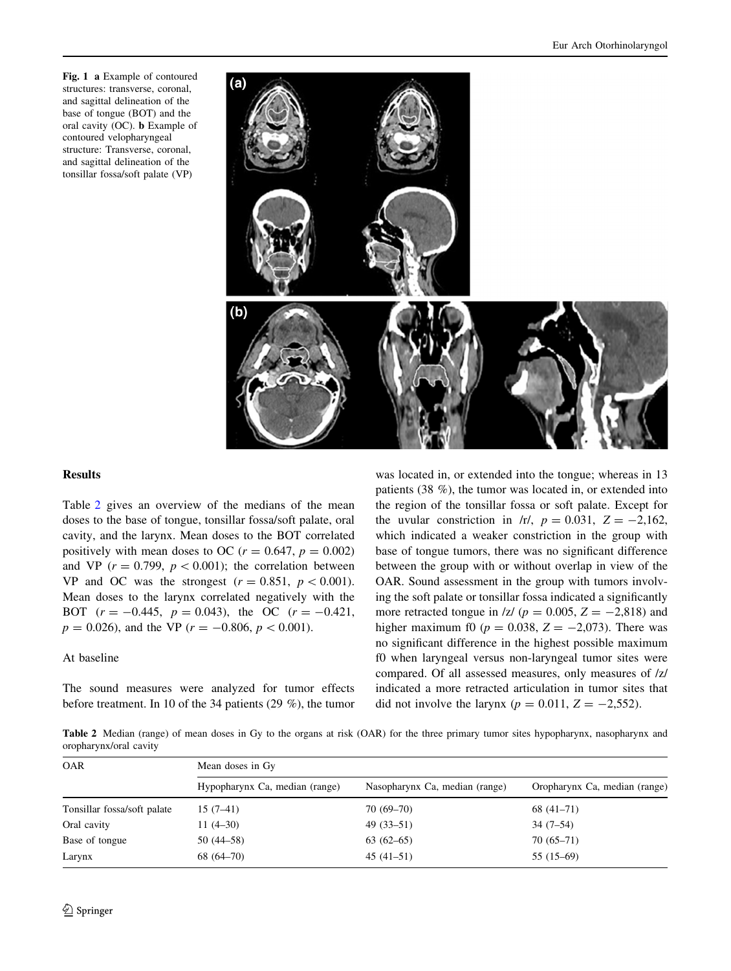<span id="page-4-0"></span>Fig. 1 a Example of contoured structures: transverse, coronal, and sagittal delineation of the base of tongue (BOT) and the oral cavity (OC). b Example of contoured velopharyngeal structure: Transverse, coronal, and sagittal delineation of the tonsillar fossa/soft palate (VP)



#### Results

Table 2 gives an overview of the medians of the mean doses to the base of tongue, tonsillar fossa/soft palate, oral cavity, and the larynx. Mean doses to the BOT correlated positively with mean doses to OC ( $r = 0.647$ ,  $p = 0.002$ ) and VP ( $r = 0.799$ ,  $p < 0.001$ ); the correlation between VP and OC was the strongest  $(r = 0.851, p < 0.001)$ . Mean doses to the larynx correlated negatively with the BOT  $(r = -0.445, p = 0.043)$ , the OC  $(r = -0.421,$  $p = 0.026$ , and the VP ( $r = -0.806$ ,  $p < 0.001$ ).

At baseline

The sound measures were analyzed for tumor effects before treatment. In 10 of the 34 patients (29 %), the tumor was located in, or extended into the tongue; whereas in 13 patients (38 %), the tumor was located in, or extended into the region of the tonsillar fossa or soft palate. Except for the uvular constriction in  $\pi/$ ,  $p = 0.031$ ,  $Z = -2.162$ , which indicated a weaker constriction in the group with base of tongue tumors, there was no significant difference between the group with or without overlap in view of the OAR. Sound assessment in the group with tumors involving the soft palate or tonsillar fossa indicated a significantly more retracted tongue in  $|z|$  ( $p = 0.005$ ,  $Z = -2.818$ ) and higher maximum f0 ( $p = 0.038$ ,  $Z = -2.073$ ). There was no significant difference in the highest possible maximum f0 when laryngeal versus non-laryngeal tumor sites were compared. Of all assessed measures, only measures of /z/ indicated a more retracted articulation in tumor sites that did not involve the larynx ( $p = 0.011$ ,  $Z = -2,552$ ).

Table 2 Median (range) of mean doses in Gy to the organs at risk (OAR) for the three primary tumor sites hypopharynx, nasopharynx and oropharynx/oral cavity

| <b>OAR</b>                  | Mean doses in Gy               |                                |                               |  |  |
|-----------------------------|--------------------------------|--------------------------------|-------------------------------|--|--|
|                             | Hypopharynx Ca, median (range) | Nasopharynx Ca, median (range) | Oropharynx Ca, median (range) |  |  |
| Tonsillar fossa/soft palate | $15(7-41)$                     | $70(69-70)$                    | $68(41-71)$                   |  |  |
| Oral cavity                 | $11(4-30)$                     | $49(33-51)$                    | $34(7-54)$                    |  |  |
| Base of tongue              | $50(44-58)$                    | $63(62-65)$                    | $70(65-71)$                   |  |  |
| Larynx                      | $68(64-70)$                    | $45(41-51)$                    | $55(15-69)$                   |  |  |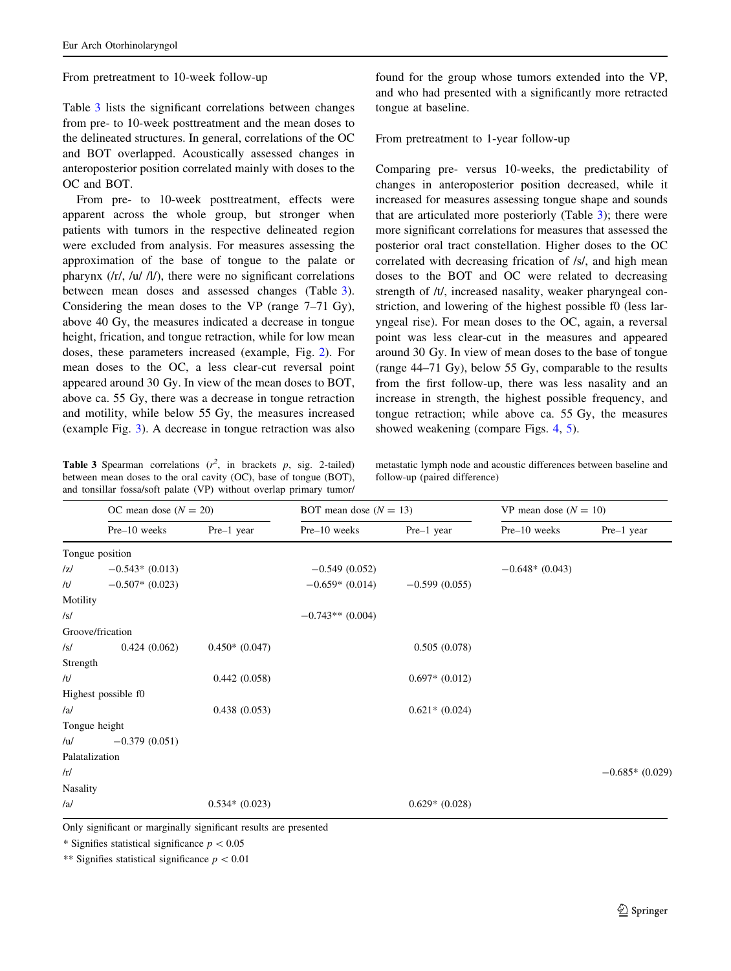From pretreatment to 10-week follow-up

Table 3 lists the significant correlations between changes from pre- to 10-week posttreatment and the mean doses to the delineated structures. In general, correlations of the OC and BOT overlapped. Acoustically assessed changes in anteroposterior position correlated mainly with doses to the OC and BOT.

From pre- to 10-week posttreatment, effects were apparent across the whole group, but stronger when patients with tumors in the respective delineated region were excluded from analysis. For measures assessing the approximation of the base of tongue to the palate or pharynx (/r/, /u/ /l/), there were no significant correlations between mean doses and assessed changes (Table 3). Considering the mean doses to the VP (range 7–71 Gy), above 40 Gy, the measures indicated a decrease in tongue height, frication, and tongue retraction, while for low mean doses, these parameters increased (example, Fig. [2\)](#page-6-0). For mean doses to the OC, a less clear-cut reversal point appeared around 30 Gy. In view of the mean doses to BOT, above ca. 55 Gy, there was a decrease in tongue retraction and motility, while below 55 Gy, the measures increased (example Fig. [3](#page-6-0)). A decrease in tongue retraction was also

Table 3 Spearman correlations  $(r^2)$ , in brackets p, sig. 2-tailed) between mean doses to the oral cavity (OC), base of tongue (BOT), and tonsillar fossa/soft palate (VP) without overlap primary tumor/

found for the group whose tumors extended into the VP, and who had presented with a significantly more retracted tongue at baseline.

### From pretreatment to 1-year follow-up

Comparing pre- versus 10-weeks, the predictability of changes in anteroposterior position decreased, while it increased for measures assessing tongue shape and sounds that are articulated more posteriorly (Table 3); there were more significant correlations for measures that assessed the posterior oral tract constellation. Higher doses to the OC correlated with decreasing frication of /s/, and high mean doses to the BOT and OC were related to decreasing strength of /t/, increased nasality, weaker pharyngeal constriction, and lowering of the highest possible f0 (less laryngeal rise). For mean doses to the OC, again, a reversal point was less clear-cut in the measures and appeared around 30 Gy. In view of mean doses to the base of tongue (range 44–71 Gy), below 55 Gy, comparable to the results from the first follow-up, there was less nasality and an increase in strength, the highest possible frequency, and tongue retraction; while above ca. 55 Gy, the measures showed weakening (compare Figs. [4,](#page-6-0) [5\)](#page-6-0).

metastatic lymph node and acoustic differences between baseline and follow-up (paired difference)

|                  | OC mean dose $(N = 20)$ |                 | BOT mean dose $(N = 13)$ |                 | VP mean dose $(N = 10)$ |                  |
|------------------|-------------------------|-----------------|--------------------------|-----------------|-------------------------|------------------|
|                  | Pre-10 weeks            | Pre-1 year      | Pre-10 weeks             | Pre-1 year      | Pre-10 weeks            | Pre-1 year       |
| Tongue position  |                         |                 |                          |                 |                         |                  |
| z                | $-0.543*(0.013)$        |                 | $-0.549(0.052)$          |                 | $-0.648*(0.043)$        |                  |
| /t/              | $-0.507*$ (0.023)       |                 | $-0.659*(0.014)$         | $-0.599(0.055)$ |                         |                  |
| Motility         |                         |                 |                          |                 |                         |                  |
| $\sqrt{s}$       |                         |                 | $-0.743**$ (0.004)       |                 |                         |                  |
| Groove/frication |                         |                 |                          |                 |                         |                  |
| $\sqrt{s}$       | 0.424(0.062)            | $0.450*(0.047)$ |                          | 0.505(0.078)    |                         |                  |
| Strength         |                         |                 |                          |                 |                         |                  |
| /t/              |                         | 0.442(0.058)    |                          | $0.697*(0.012)$ |                         |                  |
|                  | Highest possible f0     |                 |                          |                 |                         |                  |
| /al              |                         | 0.438(0.053)    |                          | $0.621*(0.024)$ |                         |                  |
| Tongue height    |                         |                 |                          |                 |                         |                  |
| /u/              | $-0.379(0.051)$         |                 |                          |                 |                         |                  |
| Palatalization   |                         |                 |                          |                 |                         |                  |
| /r/              |                         |                 |                          |                 |                         | $-0.685*(0.029)$ |
| Nasality         |                         |                 |                          |                 |                         |                  |
| /al              |                         | $0.534*(0.023)$ |                          | $0.629*(0.028)$ |                         |                  |

Only significant or marginally significant results are presented

\* Signifies statistical significance  $p < 0.05$ 

\*\* Signifies statistical significance  $p < 0.01$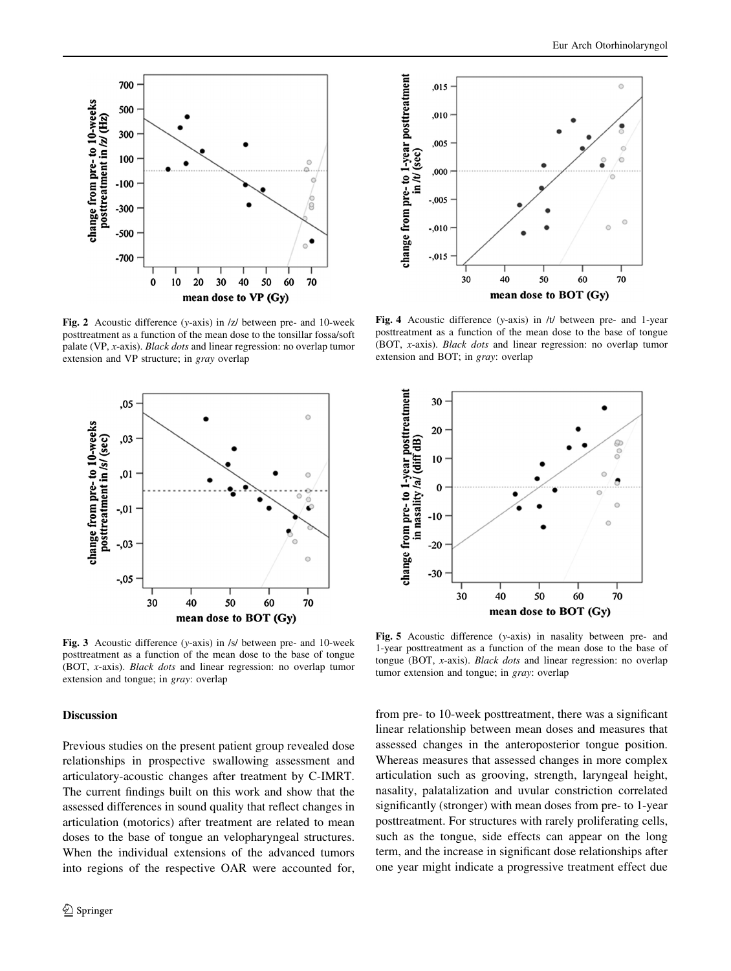<span id="page-6-0"></span>

Fig. 2 Acoustic difference (y-axis) in /z/ between pre- and 10-week posttreatment as a function of the mean dose to the tonsillar fossa/soft palate (VP, x-axis). Black dots and linear regression: no overlap tumor extension and VP structure; in gray overlap



Fig. 3 Acoustic difference (y-axis) in /s/ between pre- and 10-week posttreatment as a function of the mean dose to the base of tongue (BOT, x-axis). Black dots and linear regression: no overlap tumor extension and tongue; in gray: overlap

#### Discussion

Previous studies on the present patient group revealed dose relationships in prospective swallowing assessment and articulatory-acoustic changes after treatment by C-IMRT. The current findings built on this work and show that the assessed differences in sound quality that reflect changes in articulation (motorics) after treatment are related to mean doses to the base of tongue an velopharyngeal structures. When the individual extensions of the advanced tumors into regions of the respective OAR were accounted for,



Fig. 4 Acoustic difference (y-axis) in /t/ between pre- and 1-year posttreatment as a function of the mean dose to the base of tongue (BOT, x-axis). Black dots and linear regression: no overlap tumor extension and BOT; in gray: overlap



Fig. 5 Acoustic difference (y-axis) in nasality between pre- and 1-year posttreatment as a function of the mean dose to the base of tongue (BOT, x-axis). Black dots and linear regression: no overlap tumor extension and tongue; in gray: overlap

from pre- to 10-week posttreatment, there was a significant linear relationship between mean doses and measures that assessed changes in the anteroposterior tongue position. Whereas measures that assessed changes in more complex articulation such as grooving, strength, laryngeal height, nasality, palatalization and uvular constriction correlated significantly (stronger) with mean doses from pre- to 1-year posttreatment. For structures with rarely proliferating cells, such as the tongue, side effects can appear on the long term, and the increase in significant dose relationships after one year might indicate a progressive treatment effect due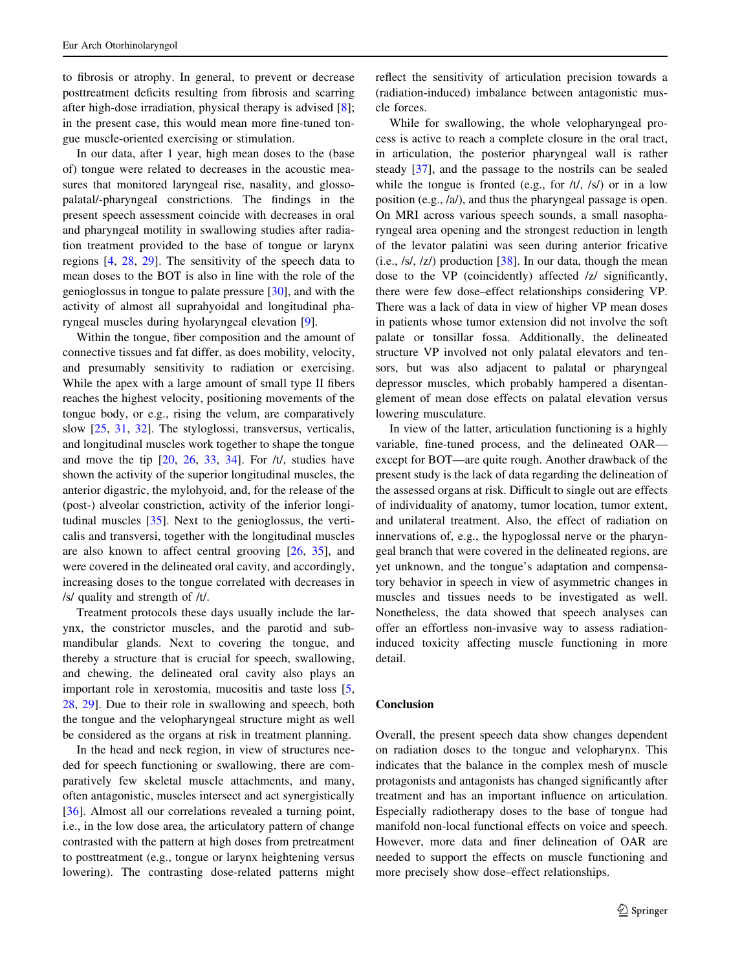to fibrosis or atrophy. In general, to prevent or decrease posttreatment deficits resulting from fibrosis and scarring after high-dose irradiation, physical therapy is advised [[8](#page-8-0)]; in the present case, this would mean more fine-tuned tongue muscle-oriented exercising or stimulation.

In our data, after 1 year, high mean doses to the (base of) tongue were related to decreases in the acoustic measures that monitored laryngeal rise, nasality, and glossopalatal/-pharyngeal constrictions. The findings in the present speech assessment coincide with decreases in oral and pharyngeal motility in swallowing studies after radiation treatment provided to the base of tongue or larynx regions [[4,](#page-8-0) [28](#page-8-0), [29\]](#page-8-0). The sensitivity of the speech data to mean doses to the BOT is also in line with the role of the genioglossus in tongue to palate pressure [\[30](#page-8-0)], and with the activity of almost all suprahyoidal and longitudinal pharyngeal muscles during hyolaryngeal elevation [\[9](#page-8-0)].

Within the tongue, fiber composition and the amount of connective tissues and fat differ, as does mobility, velocity, and presumably sensitivity to radiation or exercising. While the apex with a large amount of small type II fibers reaches the highest velocity, positioning movements of the tongue body, or e.g., rising the velum, are comparatively slow [\[25](#page-8-0), [31,](#page-8-0) [32\]](#page-8-0). The styloglossi, transversus, verticalis, and longitudinal muscles work together to shape the tongue and move the tip  $[20, 26, 33, 34]$  $[20, 26, 33, 34]$  $[20, 26, 33, 34]$  $[20, 26, 33, 34]$  $[20, 26, 33, 34]$  $[20, 26, 33, 34]$  $[20, 26, 33, 34]$  $[20, 26, 33, 34]$ . For  $/t/$ , studies have shown the activity of the superior longitudinal muscles, the anterior digastric, the mylohyoid, and, for the release of the (post-) alveolar constriction, activity of the inferior longitudinal muscles [\[35](#page-8-0)]. Next to the genioglossus, the verticalis and transversi, together with the longitudinal muscles are also known to affect central grooving [[26,](#page-8-0) [35](#page-8-0)], and were covered in the delineated oral cavity, and accordingly, increasing doses to the tongue correlated with decreases in /s/ quality and strength of /t/.

Treatment protocols these days usually include the larynx, the constrictor muscles, and the parotid and submandibular glands. Next to covering the tongue, and thereby a structure that is crucial for speech, swallowing, and chewing, the delineated oral cavity also plays an important role in xerostomia, mucositis and taste loss [[5,](#page-8-0) [28,](#page-8-0) [29](#page-8-0)]. Due to their role in swallowing and speech, both the tongue and the velopharyngeal structure might as well be considered as the organs at risk in treatment planning.

In the head and neck region, in view of structures needed for speech functioning or swallowing, there are comparatively few skeletal muscle attachments, and many, often antagonistic, muscles intersect and act synergistically [\[36](#page-8-0)]. Almost all our correlations revealed a turning point, i.e., in the low dose area, the articulatory pattern of change contrasted with the pattern at high doses from pretreatment to posttreatment (e.g., tongue or larynx heightening versus lowering). The contrasting dose-related patterns might reflect the sensitivity of articulation precision towards a (radiation-induced) imbalance between antagonistic muscle forces.

While for swallowing, the whole velopharyngeal process is active to reach a complete closure in the oral tract, in articulation, the posterior pharyngeal wall is rather steady [[37\]](#page-8-0), and the passage to the nostrils can be sealed while the tongue is fronted (e.g., for  $/t/$ ,  $/s/$ ) or in a low position (e.g., /a/), and thus the pharyngeal passage is open. On MRI across various speech sounds, a small nasopharyngeal area opening and the strongest reduction in length of the levator palatini was seen during anterior fricative (i.e.,  $\sqrt{s}$ ,  $\sqrt{z}$ ) production [\[38](#page-8-0)]. In our data, though the mean dose to the VP (coincidently) affected /z/ significantly, there were few dose–effect relationships considering VP. There was a lack of data in view of higher VP mean doses in patients whose tumor extension did not involve the soft palate or tonsillar fossa. Additionally, the delineated structure VP involved not only palatal elevators and tensors, but was also adjacent to palatal or pharyngeal depressor muscles, which probably hampered a disentanglement of mean dose effects on palatal elevation versus lowering musculature.

In view of the latter, articulation functioning is a highly variable, fine-tuned process, and the delineated OAR except for BOT—are quite rough. Another drawback of the present study is the lack of data regarding the delineation of the assessed organs at risk. Difficult to single out are effects of individuality of anatomy, tumor location, tumor extent, and unilateral treatment. Also, the effect of radiation on innervations of, e.g., the hypoglossal nerve or the pharyngeal branch that were covered in the delineated regions, are yet unknown, and the tongue's adaptation and compensatory behavior in speech in view of asymmetric changes in muscles and tissues needs to be investigated as well. Nonetheless, the data showed that speech analyses can offer an effortless non-invasive way to assess radiationinduced toxicity affecting muscle functioning in more detail.

#### Conclusion

Overall, the present speech data show changes dependent on radiation doses to the tongue and velopharynx. This indicates that the balance in the complex mesh of muscle protagonists and antagonists has changed significantly after treatment and has an important influence on articulation. Especially radiotherapy doses to the base of tongue had manifold non-local functional effects on voice and speech. However, more data and finer delineation of OAR are needed to support the effects on muscle functioning and more precisely show dose–effect relationships.